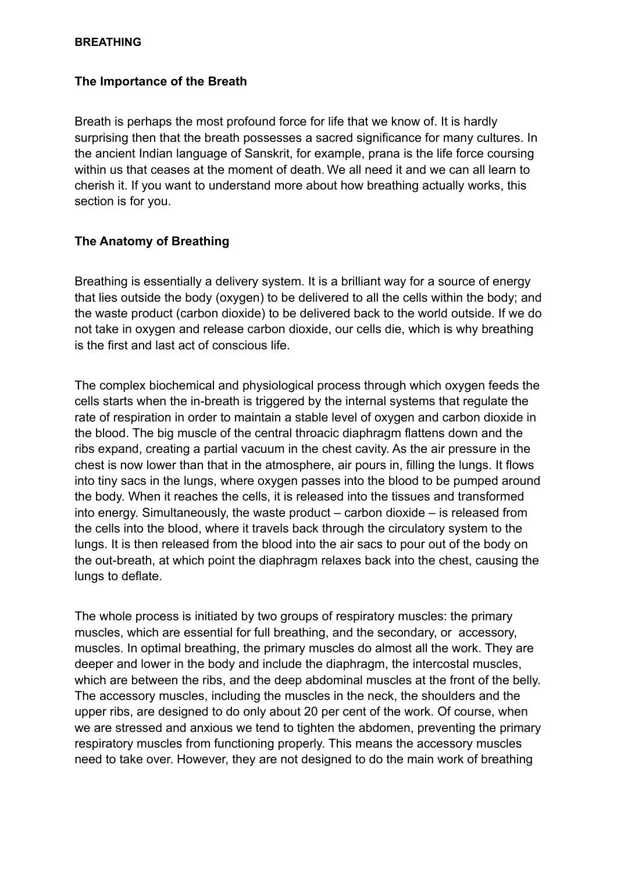#### **BREATHING**

### **The Importance of the Breath**

Breath is perhaps the most profound force for life that we know of. It is hardly surprising then that the breath possesses a sacred significance for many cultures. In the ancient Indian language of Sanskrit, for example, prana is the life force coursing within us that ceases at the moment of death. We all need it and we can all learn to cherish it. If you want to understand more about how breathing actually works, this section is for you.

# **The Anatomy of Breathing**

Breathing is essentially a delivery system. It is a brilliant way for a source of energy that lies outside the body (oxygen) to be delivered to all the cells within the body; and the waste product (carbon dioxide) to be delivered back to the world outside. If we do not take in oxygen and release carbon dioxide, our cells die, which is why breathing is the first and last act of conscious life.

The complex biochemical and physiological process through which oxygen feeds the cells starts when the in-breath is triggered by the internal systems that regulate the rate of respiration in order to maintain a stable level of oxygen and carbon dioxide in the blood. The big muscle of the central throacic diaphragm flattens down and the ribs expand, creating a partial vacuum in the chest cavity. As the air pressure in the chest is now lower than that in the atmosphere, air pours in, filling the lungs. It flows into tiny sacs in the lungs, where oxygen passes into the blood to be pumped around the body. When it reaches the cells, it is released into the tissues and transformed into energy. Simultaneously, the waste product – carbon dioxide – is released from the cells into the blood, where it travels back through the circulatory system to the lungs. It is then released from the blood into the air sacs to pour out of the body on the out-breath, at which point the diaphragm relaxes back into the chest, causing the lungs to deflate.

The whole process is initiated by two groups of respiratory muscles: the primary muscles, which are essential for full breathing, and the secondary, or accessory, muscles. In optimal breathing, the primary muscles do almost all the work. They are deeper and lower in the body and include the diaphragm, the intercostal muscles, which are between the ribs, and the deep abdominal muscles at the front of the belly. The accessory muscles, including the muscles in the neck, the shoulders and the upper ribs, are designed to do only about 20 per cent of the work. Of course, when we are stressed and anxious we tend to tighten the abdomen, preventing the primary respiratory muscles from functioning properly. This means the accessory muscles need to take over. However, they are not designed to do the main work of breathing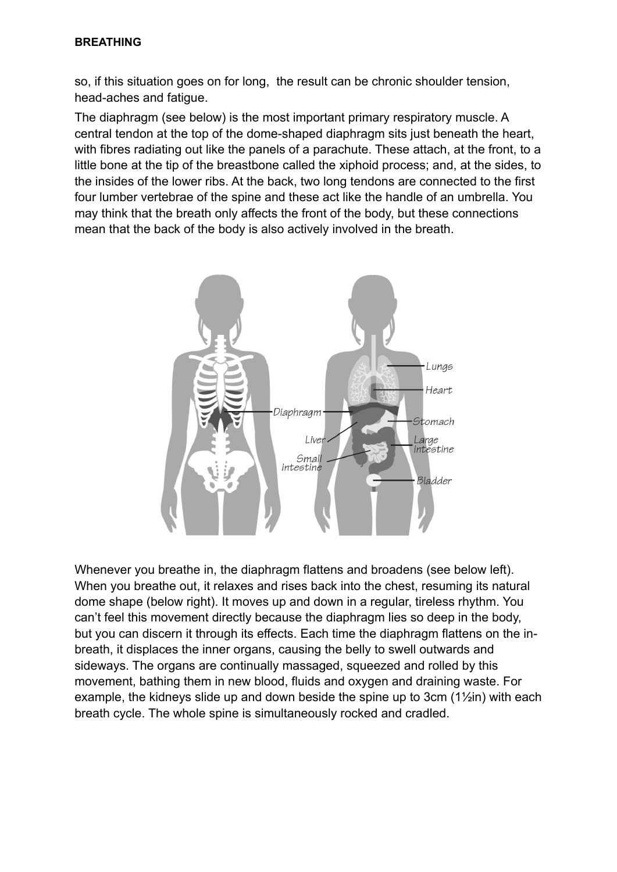so, if this situation goes on for long, the result can be chronic shoulder tension, head-aches and fatigue.

The diaphragm (see below) is the most important primary respiratory muscle. A central tendon at the top of the dome-shaped diaphragm sits just beneath the heart, with fibres radiating out like the panels of a parachute. These attach, at the front, to a little bone at the tip of the breastbone called the xiphoid process; and, at the sides, to the insides of the lower ribs. At the back, two long tendons are connected to the first four lumber vertebrae of the spine and these act like the handle of an umbrella. You may think that the breath only affects the front of the body, but these connections mean that the back of the body is also actively involved in the breath.



Whenever you breathe in, the diaphragm flattens and broadens (see below left). When you breathe out, it relaxes and rises back into the chest, resuming its natural dome shape (below right). It moves up and down in a regular, tireless rhythm. You can't feel this movement directly because the diaphragm lies so deep in the body, but you can discern it through its effects. Each time the diaphragm flattens on the inbreath, it displaces the inner organs, causing the belly to swell outwards and sideways. The organs are continually massaged, squeezed and rolled by this movement, bathing them in new blood, fluids and oxygen and draining waste. For example, the kidneys slide up and down beside the spine up to 3cm (1½in) with each breath cycle. The whole spine is simultaneously rocked and cradled.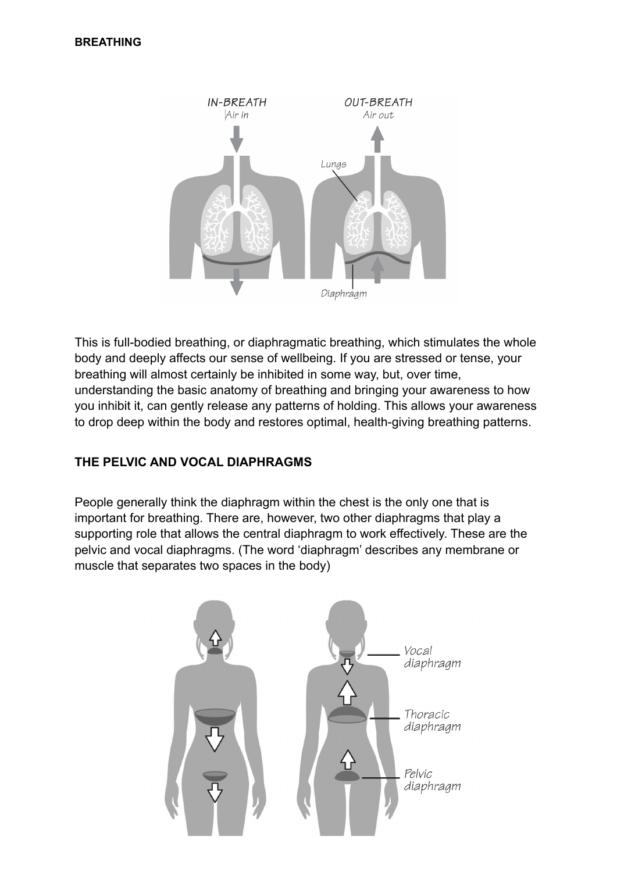

This is full-bodied breathing, or diaphragmatic breathing, which stimulates the whole body and deeply affects our sense of wellbeing. If you are stressed or tense, your breathing will almost certainly be inhibited in some way, but, over time, understanding the basic anatomy of breathing and bringing your awareness to how you inhibit it, can gently release any patterns of holding. This allows your awareness to drop deep within the body and restores optimal, health-giving breathing patterns.

# **THE PELVIC AND VOCAL DIAPHRAGMS**

People generally think the diaphragm within the chest is the only one that is important for breathing. There are, however, two other diaphragms that play a supporting role that allows the central diaphragm to work effectively. These are the pelvic and vocal diaphragms. (The word 'diaphragm' describes any membrane or muscle that separates two spaces in the body)

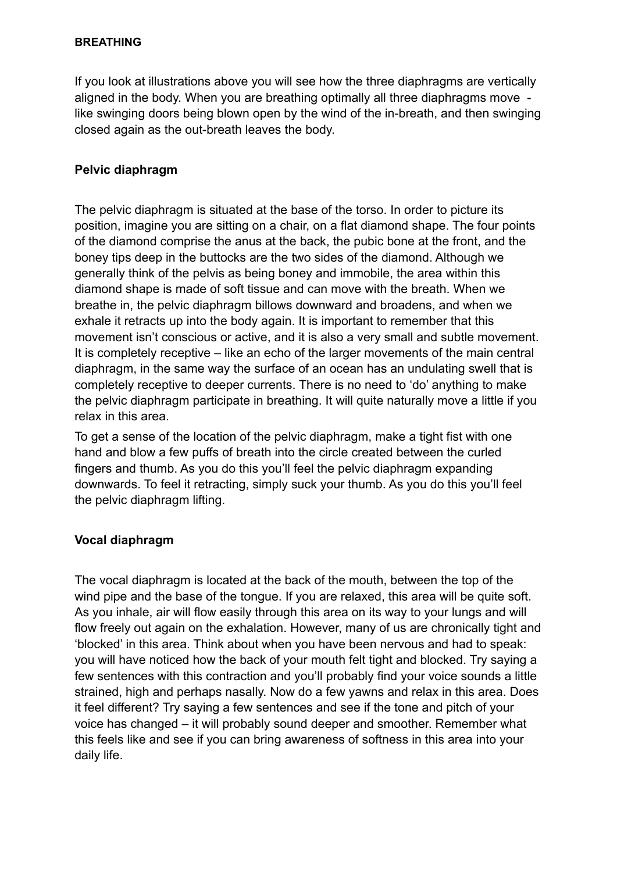## **BREATHING**

If you look at illustrations above you will see how the three diaphragms are vertically aligned in the body. When you are breathing optimally all three diaphragms move like swinging doors being blown open by the wind of the in-breath, and then swinging closed again as the out-breath leaves the body.

# **Pelvic diaphragm**

The pelvic diaphragm is situated at the base of the torso. In order to picture its position, imagine you are sitting on a chair, on a flat diamond shape. The four points of the diamond comprise the anus at the back, the pubic bone at the front, and the boney tips deep in the buttocks are the two sides of the diamond. Although we generally think of the pelvis as being boney and immobile, the area within this diamond shape is made of soft tissue and can move with the breath. When we breathe in, the pelvic diaphragm billows downward and broadens, and when we exhale it retracts up into the body again. It is important to remember that this movement isn't conscious or active, and it is also a very small and subtle movement. It is completely receptive – like an echo of the larger movements of the main central diaphragm, in the same way the surface of an ocean has an undulating swell that is completely receptive to deeper currents. There is no need to 'do' anything to make the pelvic diaphragm participate in breathing. It will quite naturally move a little if you relax in this area.

To get a sense of the location of the pelvic diaphragm, make a tight fist with one hand and blow a few puffs of breath into the circle created between the curled fingers and thumb. As you do this you'll feel the pelvic diaphragm expanding downwards. To feel it retracting, simply suck your thumb. As you do this you'll feel the pelvic diaphragm lifting.

# **Vocal diaphragm**

The vocal diaphragm is located at the back of the mouth, between the top of the wind pipe and the base of the tongue. If you are relaxed, this area will be quite soft. As you inhale, air will flow easily through this area on its way to your lungs and will flow freely out again on the exhalation. However, many of us are chronically tight and 'blocked' in this area. Think about when you have been nervous and had to speak: you will have noticed how the back of your mouth felt tight and blocked. Try saying a few sentences with this contraction and you'll probably find your voice sounds a little strained, high and perhaps nasally. Now do a few yawns and relax in this area. Does it feel different? Try saying a few sentences and see if the tone and pitch of your voice has changed – it will probably sound deeper and smoother. Remember what this feels like and see if you can bring awareness of softness in this area into your daily life.